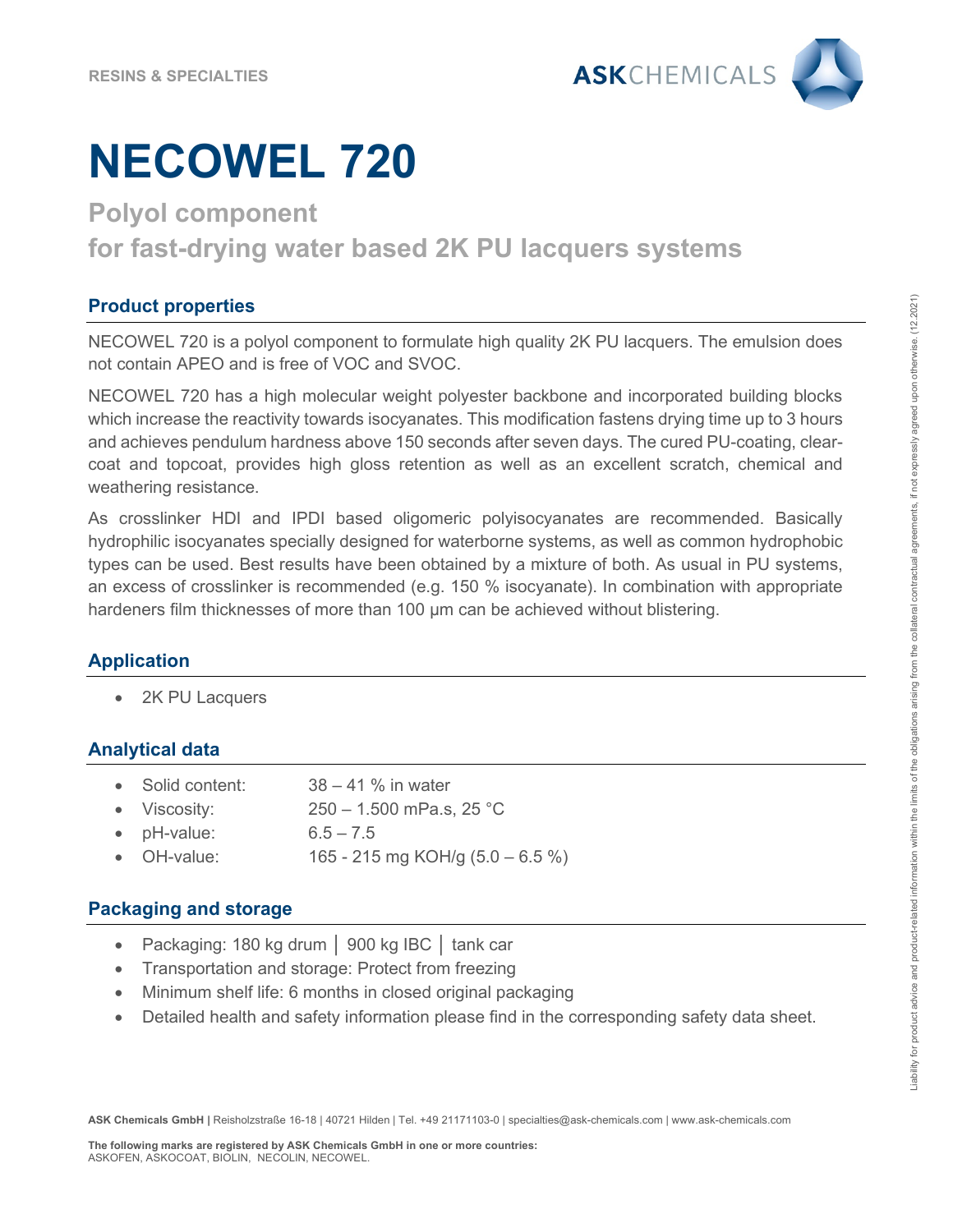

# **NECOWEL 720**

## **Polyol component for fast-drying water based 2K PU lacquers systems**

## **Product properties**

NECOWEL 720 is a polyol component to formulate high quality 2K PU lacquers. The emulsion does not contain APEO and is free of VOC and SVOC.

NECOWEL 720 has a high molecular weight polyester backbone and incorporated building blocks which increase the reactivity towards isocyanates. This modification fastens drying time up to 3 hours and achieves pendulum hardness above 150 seconds after seven days. The cured PU-coating, clearcoat and topcoat, provides high gloss retention as well as an excellent scratch, chemical and weathering resistance.

As crosslinker HDI and IPDI based oligomeric polyisocyanates are recommended. Basically hydrophilic isocyanates specially designed for waterborne systems, as well as common hydrophobic types can be used. Best results have been obtained by a mixture of both. As usual in PU systems, an excess of crosslinker is recommended (e.g. 150 % isocyanate). In combination with appropriate hardeners film thicknesses of more than 100 µm can be achieved without blistering.

## **Application**

2K PU Lacquers

## **Analytical data**

- Solid content: 38 41 % in water
- Viscosity: 250 1.500 mPa.s, 25 °C
- pH-value: 6.5 7.5
- OH-value: 165 215 mg KOH/g (5.0 6.5 %)

### **Packaging and storage**

- Packaging: 180 kg drum │ 900 kg IBC │ tank car
- Transportation and storage: Protect from freezing
- Minimum shelf life: 6 months in closed original packaging
- Detailed health and safety information please find in the corresponding safety data sheet.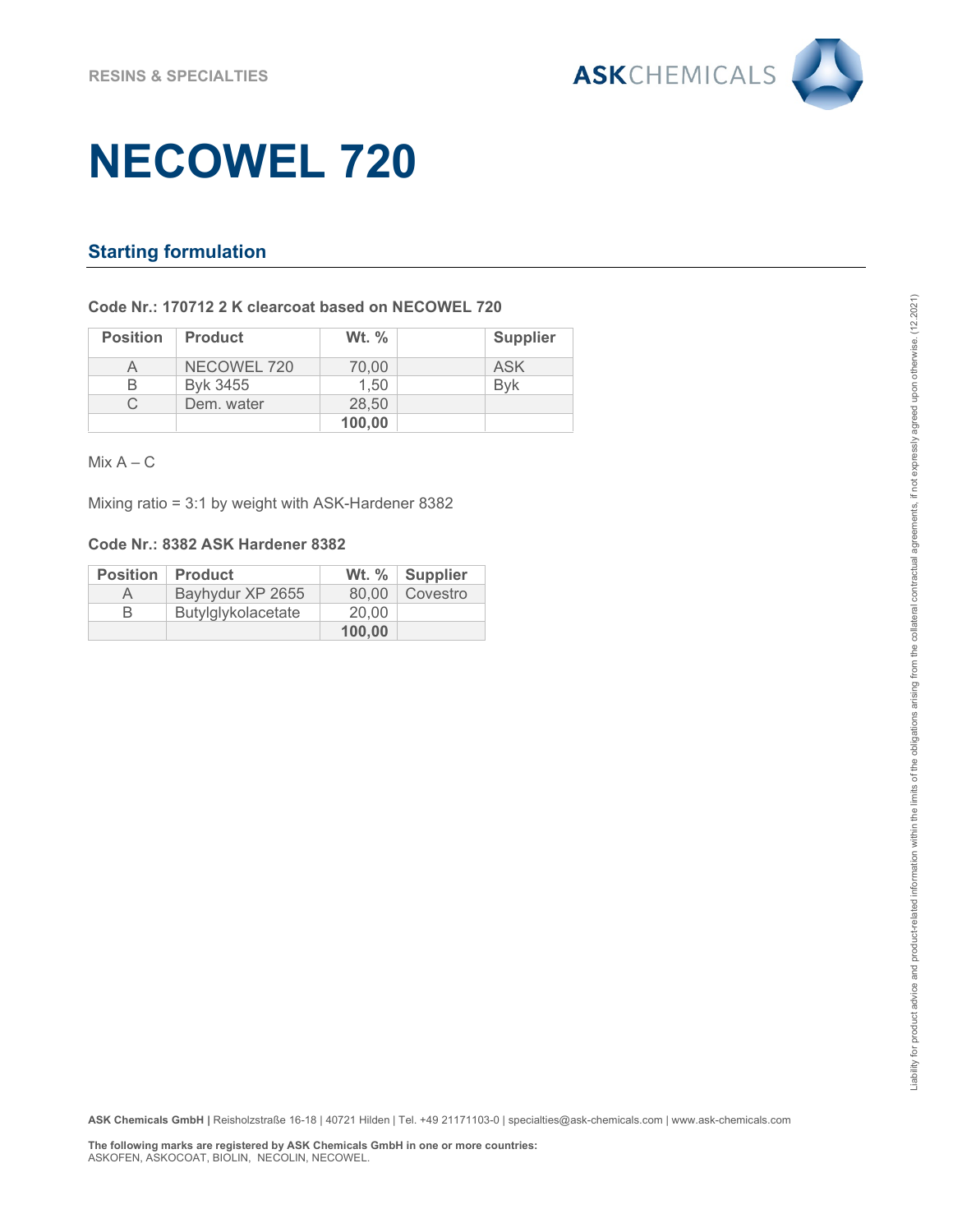

## **NECOWEL 720**

### **Starting formulation**

#### **Code Nr.: 170712 2 K clearcoat based on NECOWEL 720**

| <b>Position</b> | <b>Product</b> | <b>Wt.</b> % | <b>Supplier</b> |
|-----------------|----------------|--------------|-----------------|
|                 | NECOWEL 720    | 70.00        | ASK             |
| R               | Byk 3455       | 1.50         | <b>Bvk</b>      |
|                 | Dem. water     | 28,50        |                 |
|                 |                | 100,00       |                 |

 $Mix A - C$ 

Mixing ratio = 3:1 by weight with ASK-Hardener 8382

#### **Code Nr.: 8382 ASK Hardener 8382**

|           | <b>Position   Product</b> |        | Wt. %   Supplier |
|-----------|---------------------------|--------|------------------|
| $\forall$ | Bayhydur XP 2655          |        | 80.00   Covestro |
| R         | Butylglykolacetate        | 20.00  |                  |
|           |                           | 100,00 |                  |

**ASK Chemicals GmbH |** Reisholzstraße 16-18 | 40721 Hilden | Tel. +49 21171103-0 | specialties@ask-chemicals.com | www.ask-chemicals.com